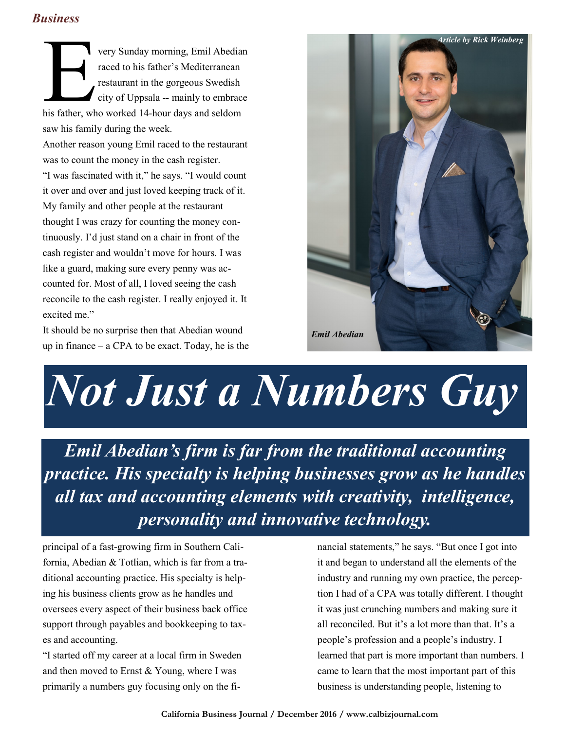## *Business*

very Sunday morning, Emil Abedia<br>
raced to his father's Mediterranean<br>
restaurant in the gorgeous Swedish<br>
city of Uppsala -- mainly to embrac<br>
his father, who worked 14-hour days and seldom very Sunday morning, Emil Abedian raced to his father"s Mediterranean restaurant in the gorgeous Swedish city of Uppsala -- mainly to embrace saw his family during the week.

Another reason young Emil raced to the restaurant was to count the money in the cash register.

"I was fascinated with it," he says. "I would count it over and over and just loved keeping track of it. My family and other people at the restaurant thought I was crazy for counting the money continuously. I"d just stand on a chair in front of the cash register and wouldn"t move for hours. I was like a guard, making sure every penny was accounted for. Most of all, I loved seeing the cash reconcile to the cash register. I really enjoyed it. It excited me."

It should be no surprise then that Abedian wound up in finance  $-$  a CPA to be exact. Today, he is the



## *Not Just a Numbers Guy*

*Emil Abedian's firm is far from the traditional accounting practice. His specialty is helping businesses grow as he handles all tax and accounting elements with creativity, intelligence, personality and innovative technology.* 

principal of a fast-growing firm in Southern California, Abedian & Totlian, which is far from a traditional accounting practice. His specialty is helping his business clients grow as he handles and oversees every aspect of their business back office support through payables and bookkeeping to taxes and accounting.

"I started off my career at a local firm in Sweden and then moved to Ernst & Young, where I was primarily a numbers guy focusing only on the financial statements," he says. "But once I got into it and began to understand all the elements of the industry and running my own practice, the perception I had of a CPA was totally different. I thought it was just crunching numbers and making sure it all reconciled. But it's a lot more than that. It's a people"s profession and a people"s industry. I learned that part is more important than numbers. I came to learn that the most important part of this business is understanding people, listening to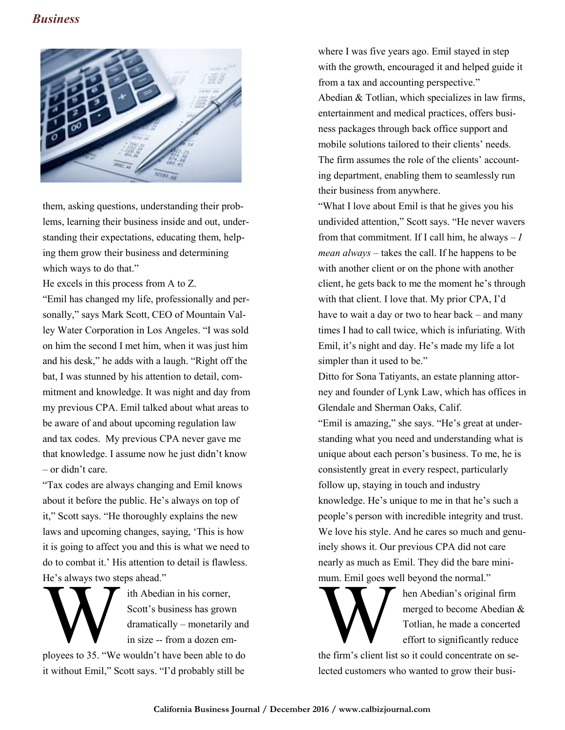## *Business*



them, asking questions, understanding their problems, learning their business inside and out, understanding their expectations, educating them, helping them grow their business and determining which ways to do that."

He excels in this process from A to Z.

"Emil has changed my life, professionally and personally," says Mark Scott, CEO of Mountain Valley Water Corporation in Los Angeles. "I was sold on him the second I met him, when it was just him and his desk," he adds with a laugh. "Right off the bat, I was stunned by his attention to detail, commitment and knowledge. It was night and day from my previous CPA. Emil talked about what areas to be aware of and about upcoming regulation law and tax codes. My previous CPA never gave me that knowledge. I assume now he just didn"t know – or didn"t care.

"Tax codes are always changing and Emil knows about it before the public. He's always on top of it," Scott says. "He thoroughly explains the new laws and upcoming changes, saying, "This is how it is going to affect you and this is what we need to do to combat it." His attention to detail is flawless. He's always two steps ahead."

He's always two steps ahead."<br>
Ith Abedian in his corner,<br>
Scott's business has grown<br>
dramatically – monetarily and<br>
in size -- from a dozen em-<br>
ployees to 35. "We wouldn't have been able to do ith Abedian in his corner, Scott"s business has grown dramatically – monetarily and in size -- from a dozen em-

it without Emil," Scott says. "I"d probably still be

where I was five years ago. Emil stayed in step with the growth, encouraged it and helped guide it from a tax and accounting perspective." Abedian & Totlian, which specializes in law firms, entertainment and medical practices, offers business packages through back office support and mobile solutions tailored to their clients' needs. The firm assumes the role of the clients' accounting department, enabling them to seamlessly run their business from anywhere.

"What I love about Emil is that he gives you his undivided attention," Scott says. "He never wavers from that commitment. If I call him, he always  $-I$ *mean always* – takes the call. If he happens to be with another client or on the phone with another client, he gets back to me the moment he"s through with that client. I love that. My prior CPA, I"d have to wait a day or two to hear back – and many times I had to call twice, which is infuriating. With Emil, it's night and day. He's made my life a lot simpler than it used to be."

Ditto for Sona Tatiyants, an estate planning attorney and founder of Lynk Law, which has offices in Glendale and Sherman Oaks, Calif.

"Emil is amazing," she says. "He's great at understanding what you need and understanding what is unique about each person"s business. To me, he is consistently great in every respect, particularly follow up, staying in touch and industry knowledge. He's unique to me in that he's such a people"s person with incredible integrity and trust. We love his style. And he cares so much and genuinely shows it. Our previous CPA did not care nearly as much as Emil. They did the bare minimum. Emil goes well beyond the normal."



mum. Emil goes well beyond the normal."<br>
hen Abedian's original firm<br>
merged to become Abedian<br>
Totlian, he made a concerted<br>
effort to significantly reduce<br>
the firm's client list so it could concentrate on sehen Abedian"s original firm merged to become Abedian & Totlian, he made a concerted effort to significantly reduce

lected customers who wanted to grow their busi-